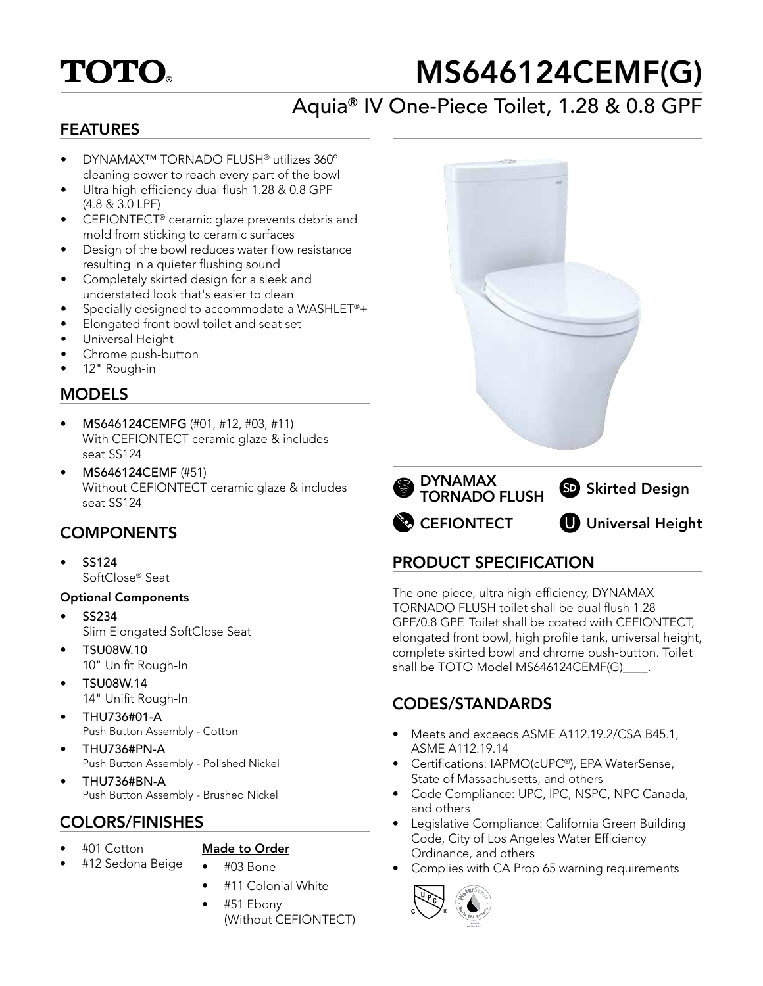# **TOTO.**

# MS646124CEMF(G)

# Aquia® IV One-Piece Toilet, 1.28 & 0.8 GPF

#### FEATURES

- DYNAMAX™ TORNADO FLUSH® utilizes 360º cleaning power to reach every part of the bowl
- Ultra high-efficiency dual flush 1.28 & 0.8 GPF (4.8 & 3.0 LPF)
- CEFIONTECT® ceramic glaze prevents debris and mold from sticking to ceramic surfaces
- Design of the bowl reduces water flow resistance resulting in a quieter flushing sound
- Completely skirted design for a sleek and understated look that's easier to clean
- Specially designed to accommodate a WASHLET®+
- Elongated front bowl toilet and seat set
- Universal Height
- Chrome push-button
- 12" Rough-in

#### **MODELS**

- MS646124CEMFG (#01, #12, #03, #11) With CEFIONTECT ceramic glaze & includes seat SS124
- MS646124CEMF (#51) Without CEFIONTECT ceramic glaze & includes seat SS124

## **COMPONENTS**

• SS124 SoftClose® Seat

#### Optional Components

- SS234 Slim Elongated SoftClose Seat
- TSU08W.10 10" Unifit Rough-In
- TSU08W.14 14" Unifit Rough-In
- THU736#01-A Push Button Assembly - Cotton
- THU736#PN-A Push Button Assembly - Polished Nickel
- THU736#BN-A Push Button Assembly - Brushed Nickel

## COLORS/FINISHES

• #12 Sedona Beige

• #01 Cotton

## Made to Order

- #03 Bone
- #11 Colonial White
- #51 Ebony (Without CEFIONTECT)



## PRODUCT SPECIFICATION

The one-piece, ultra high-efficiency, DYNAMAX TORNADO FLUSH toilet shall be dual flush 1.28 GPF/0.8 GPF. Toilet shall be coated with CEFIONTECT, elongated front bowl, high profile tank, universal height, complete skirted bowl and chrome push-button. Toilet shall be TOTO Model MS646124CEMF(G)

## CODES/STANDARDS

- Meets and exceeds ASME A112.19.2/CSA B45.1, ASME A112.19.14
- Certifications: IAPMO(cUPC®), EPA WaterSense, State of Massachusetts, and others
- Code Compliance: UPC, IPC, NSPC, NPC Canada, and others
- Legislative Compliance: California Green Building Code, City of Los Angeles Water Efficiency Ordinance, and others
- Complies with CA Prop 65 warning requirements